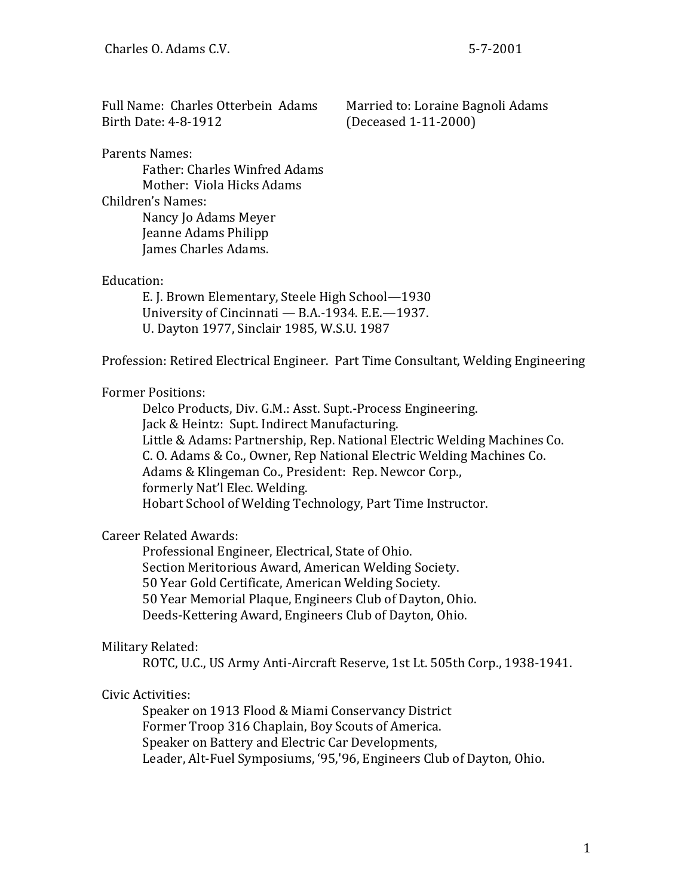Full Name: Charles Otterbein Adams Married to: Loraine Bagnoli Adams Birth Date: 4-8-1912 (Deceased 1-11-2000)

Parents Names:

Father: Charles Winfred Adams Mother: Viola Hicks Adams Children's Names: Nancy Jo Adams Meyer Jeanne Adams Philipp James Charles Adams.

### Education:

E. J. Brown Elementary, Steele High School—1930 University of Cincinnati — B.A.-1934. E.E.—1937. U. Dayton 1977, Sinclair 1985, W.S.U. 1987

Profession: Retired Electrical Engineer. Part Time Consultant, Welding Engineering

# Former Positions:

Delco Products, Div. G.M.: Asst. Supt.-Process Engineering. Jack & Heintz: Supt. Indirect Manufacturing. Little & Adams: Partnership, Rep. National Electric Welding Machines Co. C. O. Adams & Co., Owner, Rep National Electric Welding Machines Co. Adams & Klingeman Co., President: Rep. Newcor Corp., formerly Nat'l Elec. Welding. Hobart School of Welding Technology, Part Time Instructor.

# Career Related Awards:

Professional Engineer, Electrical, State of Ohio. Section Meritorious Award, American Welding Society. 50 Year Gold Certificate, American Welding Society. 50 Year Memorial Plaque, Engineers Club of Dayton, Ohio. Deeds-Kettering Award, Engineers Club of Dayton, Ohio.

# Military Related:

ROTC, U.C., US Army Anti-Aircraft Reserve, 1st Lt. 505th Corp., 1938-1941.

# Civic Activities:

Speaker on 1913 Flood & Miami Conservancy District Former Troop 316 Chaplain, Boy Scouts of America. Speaker on Battery and Electric Car Developments, Leader, Alt-Fuel Symposiums, '95,'96, Engineers Club of Dayton, Ohio.